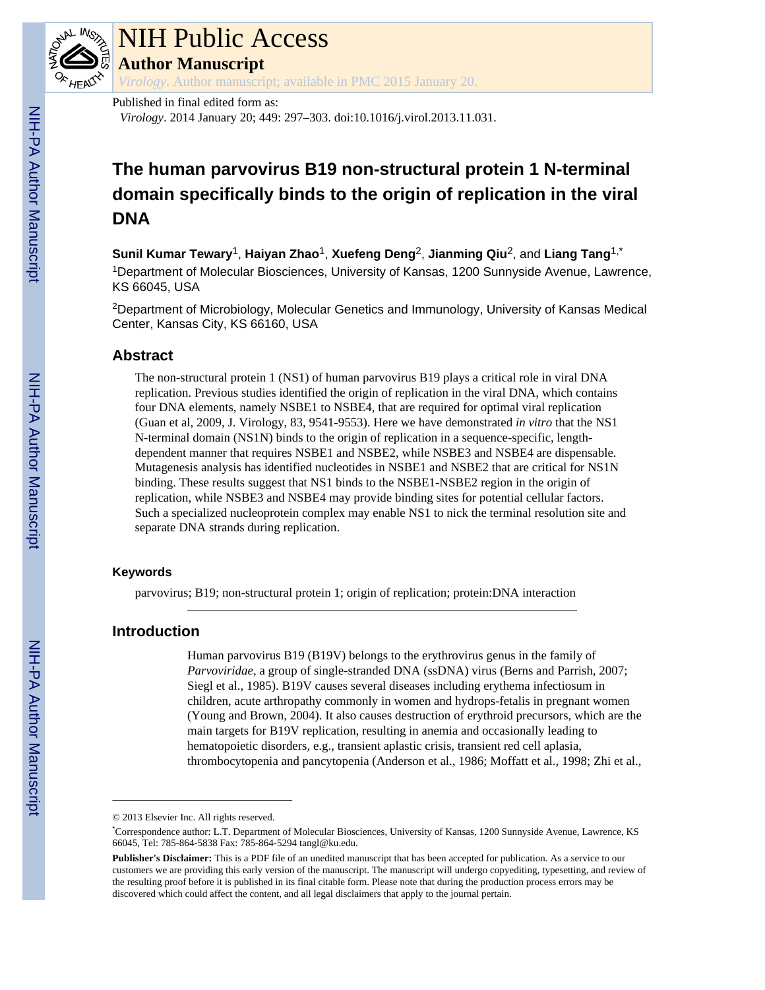

## NIH Public Access

**Author Manuscript**

*Virology*. Author manuscript; available in PMC 2015 January 20.

Published in final edited form as:

*Virology*. 2014 January 20; 449: 297–303. doi:10.1016/j.virol.2013.11.031.

### **The human parvovirus B19 non-structural protein 1 N-terminal domain specifically binds to the origin of replication in the viral DNA**

**Sunil Kumar Tewary**1, **Haiyan Zhao**1, **Xuefeng Deng**2, **Jianming Qiu**2, and **Liang Tang**1,\* <sup>1</sup>Department of Molecular Biosciences, University of Kansas, 1200 Sunnyside Avenue, Lawrence, KS 66045, USA

<sup>2</sup>Department of Microbiology, Molecular Genetics and Immunology, University of Kansas Medical Center, Kansas City, KS 66160, USA

#### **Abstract**

The non-structural protein 1 (NS1) of human parvovirus B19 plays a critical role in viral DNA replication. Previous studies identified the origin of replication in the viral DNA, which contains four DNA elements, namely NSBE1 to NSBE4, that are required for optimal viral replication (Guan et al, 2009, J. Virology, 83, 9541-9553). Here we have demonstrated *in vitro* that the NS1 N-terminal domain (NS1N) binds to the origin of replication in a sequence-specific, lengthdependent manner that requires NSBE1 and NSBE2, while NSBE3 and NSBE4 are dispensable. Mutagenesis analysis has identified nucleotides in NSBE1 and NSBE2 that are critical for NS1N binding. These results suggest that NS1 binds to the NSBE1-NSBE2 region in the origin of replication, while NSBE3 and NSBE4 may provide binding sites for potential cellular factors. Such a specialized nucleoprotein complex may enable NS1 to nick the terminal resolution site and separate DNA strands during replication.

#### **Keywords**

parvovirus; B19; non-structural protein 1; origin of replication; protein:DNA interaction

#### **Introduction**

Human parvovirus B19 (B19V) belongs to the erythrovirus genus in the family of *Parvoviridae*, a group of single-stranded DNA (ssDNA) virus (Berns and Parrish, 2007; Siegl et al., 1985). B19V causes several diseases including erythema infectiosum in children, acute arthropathy commonly in women and hydrops-fetalis in pregnant women (Young and Brown, 2004). It also causes destruction of erythroid precursors, which are the main targets for B19V replication, resulting in anemia and occasionally leading to hematopoietic disorders, e.g., transient aplastic crisis, transient red cell aplasia, thrombocytopenia and pancytopenia (Anderson et al., 1986; Moffatt et al., 1998; Zhi et al.,

<sup>© 2013</sup> Elsevier Inc. All rights reserved.

<sup>\*</sup>Correspondence author: L.T. Department of Molecular Biosciences, University of Kansas, 1200 Sunnyside Avenue, Lawrence, KS 66045, Tel: 785-864-5838 Fax: 785-864-5294 tangl@ku.edu.

**Publisher's Disclaimer:** This is a PDF file of an unedited manuscript that has been accepted for publication. As a service to our customers we are providing this early version of the manuscript. The manuscript will undergo copyediting, typesetting, and review of the resulting proof before it is published in its final citable form. Please note that during the production process errors may be discovered which could affect the content, and all legal disclaimers that apply to the journal pertain.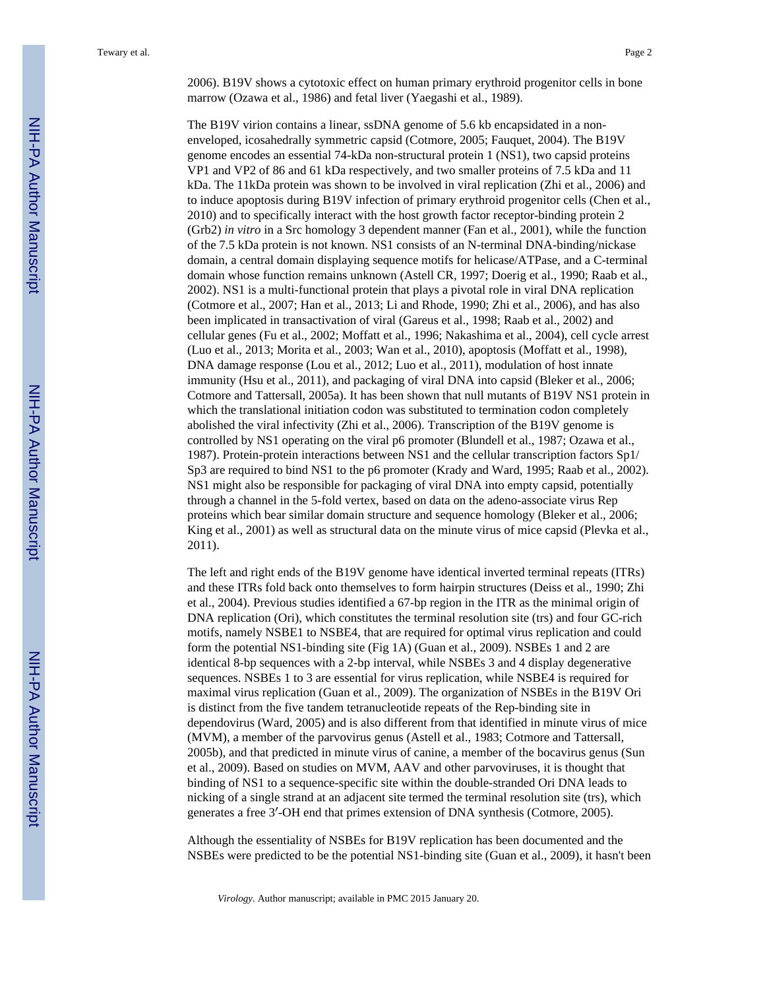2006). B19V shows a cytotoxic effect on human primary erythroid progenitor cells in bone marrow (Ozawa et al., 1986) and fetal liver (Yaegashi et al., 1989).

The B19V virion contains a linear, ssDNA genome of 5.6 kb encapsidated in a nonenveloped, icosahedrally symmetric capsid (Cotmore, 2005; Fauquet, 2004). The B19V genome encodes an essential 74-kDa non-structural protein 1 (NS1), two capsid proteins VP1 and VP2 of 86 and 61 kDa respectively, and two smaller proteins of 7.5 kDa and 11 kDa. The 11kDa protein was shown to be involved in viral replication (Zhi et al., 2006) and to induce apoptosis during B19V infection of primary erythroid progenitor cells (Chen et al., 2010) and to specifically interact with the host growth factor receptor-binding protein 2 (Grb2) *in vitro* in a Src homology 3 dependent manner (Fan et al., 2001), while the function of the 7.5 kDa protein is not known. NS1 consists of an N-terminal DNA-binding/nickase domain, a central domain displaying sequence motifs for helicase/ATPase, and a C-terminal domain whose function remains unknown (Astell CR, 1997; Doerig et al., 1990; Raab et al., 2002). NS1 is a multi-functional protein that plays a pivotal role in viral DNA replication (Cotmore et al., 2007; Han et al., 2013; Li and Rhode, 1990; Zhi et al., 2006), and has also been implicated in transactivation of viral (Gareus et al., 1998; Raab et al., 2002) and cellular genes (Fu et al., 2002; Moffatt et al., 1996; Nakashima et al., 2004), cell cycle arrest (Luo et al., 2013; Morita et al., 2003; Wan et al., 2010), apoptosis (Moffatt et al., 1998), DNA damage response (Lou et al., 2012; Luo et al., 2011), modulation of host innate immunity (Hsu et al., 2011), and packaging of viral DNA into capsid (Bleker et al., 2006; Cotmore and Tattersall, 2005a). It has been shown that null mutants of B19V NS1 protein in which the translational initiation codon was substituted to termination codon completely abolished the viral infectivity (Zhi et al., 2006). Transcription of the B19V genome is controlled by NS1 operating on the viral p6 promoter (Blundell et al., 1987; Ozawa et al., 1987). Protein-protein interactions between NS1 and the cellular transcription factors Sp1/ Sp3 are required to bind NS1 to the p6 promoter (Krady and Ward, 1995; Raab et al., 2002). NS1 might also be responsible for packaging of viral DNA into empty capsid, potentially through a channel in the 5-fold vertex, based on data on the adeno-associate virus Rep proteins which bear similar domain structure and sequence homology (Bleker et al., 2006; King et al., 2001) as well as structural data on the minute virus of mice capsid (Plevka et al., 2011).

The left and right ends of the B19V genome have identical inverted terminal repeats (ITRs) and these ITRs fold back onto themselves to form hairpin structures (Deiss et al., 1990; Zhi et al., 2004). Previous studies identified a 67-bp region in the ITR as the minimal origin of DNA replication (Ori), which constitutes the terminal resolution site (trs) and four GC-rich motifs, namely NSBE1 to NSBE4, that are required for optimal virus replication and could form the potential NS1-binding site (Fig 1A) (Guan et al., 2009). NSBEs 1 and 2 are identical 8-bp sequences with a 2-bp interval, while NSBEs 3 and 4 display degenerative sequences. NSBEs 1 to 3 are essential for virus replication, while NSBE4 is required for maximal virus replication (Guan et al., 2009). The organization of NSBEs in the B19V Ori is distinct from the five tandem tetranucleotide repeats of the Rep-binding site in dependovirus (Ward, 2005) and is also different from that identified in minute virus of mice (MVM), a member of the parvovirus genus (Astell et al., 1983; Cotmore and Tattersall, 2005b), and that predicted in minute virus of canine, a member of the bocavirus genus (Sun et al., 2009). Based on studies on MVM, AAV and other parvoviruses, it is thought that binding of NS1 to a sequence-specific site within the double-stranded Ori DNA leads to nicking of a single strand at an adjacent site termed the terminal resolution site (trs), which generates a free 3′-OH end that primes extension of DNA synthesis (Cotmore, 2005).

Although the essentiality of NSBEs for B19V replication has been documented and the NSBEs were predicted to be the potential NS1-binding site (Guan et al., 2009), it hasn't been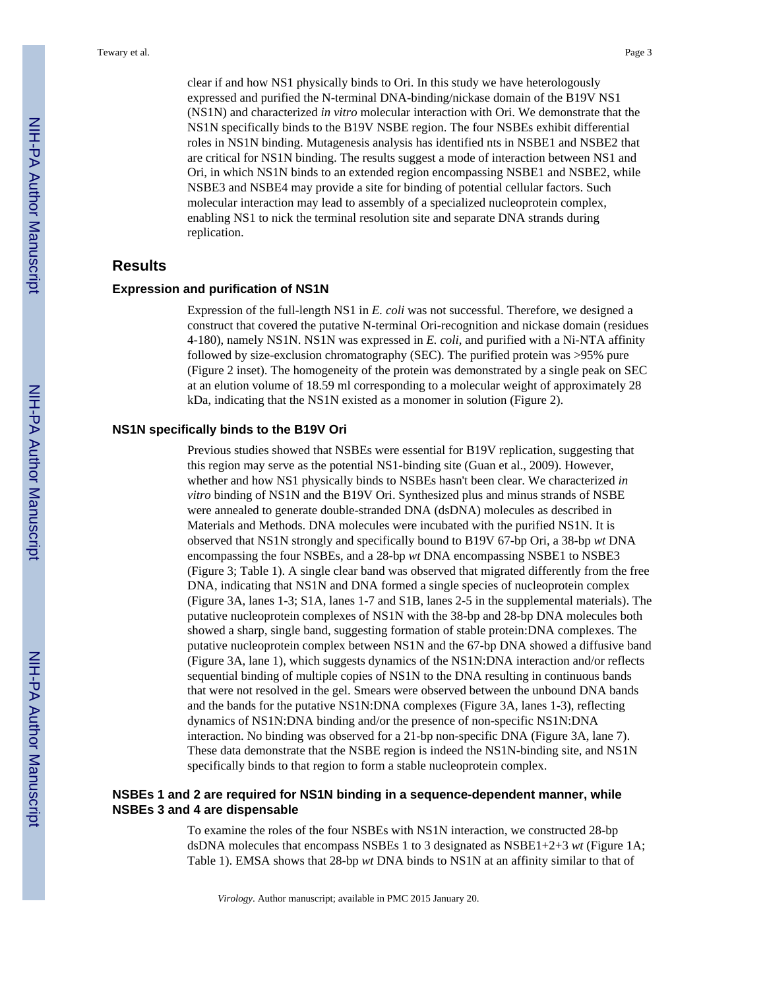clear if and how NS1 physically binds to Ori. In this study we have heterologously expressed and purified the N-terminal DNA-binding/nickase domain of the B19V NS1 (NS1N) and characterized *in vitro* molecular interaction with Ori. We demonstrate that the NS1N specifically binds to the B19V NSBE region. The four NSBEs exhibit differential roles in NS1N binding. Mutagenesis analysis has identified nts in NSBE1 and NSBE2 that are critical for NS1N binding. The results suggest a mode of interaction between NS1 and Ori, in which NS1N binds to an extended region encompassing NSBE1 and NSBE2, while NSBE3 and NSBE4 may provide a site for binding of potential cellular factors. Such molecular interaction may lead to assembly of a specialized nucleoprotein complex, enabling NS1 to nick the terminal resolution site and separate DNA strands during replication.

#### **Results**

#### **Expression and purification of NS1N**

Expression of the full-length NS1 in *E. coli* was not successful. Therefore, we designed a construct that covered the putative N-terminal Ori-recognition and nickase domain (residues 4-180), namely NS1N. NS1N was expressed in *E. coli*, and purified with a Ni-NTA affinity followed by size-exclusion chromatography (SEC). The purified protein was >95% pure (Figure 2 inset). The homogeneity of the protein was demonstrated by a single peak on SEC at an elution volume of 18.59 ml corresponding to a molecular weight of approximately 28 kDa, indicating that the NS1N existed as a monomer in solution (Figure 2).

#### **NS1N specifically binds to the B19V Ori**

Previous studies showed that NSBEs were essential for B19V replication, suggesting that this region may serve as the potential NS1-binding site (Guan et al., 2009). However, whether and how NS1 physically binds to NSBEs hasn't been clear. We characterized *in vitro* binding of NS1N and the B19V Ori. Synthesized plus and minus strands of NSBE were annealed to generate double-stranded DNA (dsDNA) molecules as described in Materials and Methods. DNA molecules were incubated with the purified NS1N. It is observed that NS1N strongly and specifically bound to B19V 67-bp Ori, a 38-bp *wt* DNA encompassing the four NSBEs, and a 28-bp *wt* DNA encompassing NSBE1 to NSBE3 (Figure 3; Table 1). A single clear band was observed that migrated differently from the free DNA, indicating that NS1N and DNA formed a single species of nucleoprotein complex (Figure 3A, lanes 1-3; S1A, lanes 1-7 and S1B, lanes 2-5 in the supplemental materials). The putative nucleoprotein complexes of NS1N with the 38-bp and 28-bp DNA molecules both showed a sharp, single band, suggesting formation of stable protein:DNA complexes. The putative nucleoprotein complex between NS1N and the 67-bp DNA showed a diffusive band (Figure 3A, lane 1), which suggests dynamics of the NS1N:DNA interaction and/or reflects sequential binding of multiple copies of NS1N to the DNA resulting in continuous bands that were not resolved in the gel. Smears were observed between the unbound DNA bands and the bands for the putative NS1N:DNA complexes (Figure 3A, lanes 1-3), reflecting dynamics of NS1N:DNA binding and/or the presence of non-specific NS1N:DNA interaction. No binding was observed for a 21-bp non-specific DNA (Figure 3A, lane 7). These data demonstrate that the NSBE region is indeed the NS1N-binding site, and NS1N specifically binds to that region to form a stable nucleoprotein complex.

#### **NSBEs 1 and 2 are required for NS1N binding in a sequence-dependent manner, while NSBEs 3 and 4 are dispensable**

To examine the roles of the four NSBEs with NS1N interaction, we constructed 28-bp dsDNA molecules that encompass NSBEs 1 to 3 designated as NSBE1+2+3 *wt* (Figure 1A; Table 1). EMSA shows that 28-bp *wt* DNA binds to NS1N at an affinity similar to that of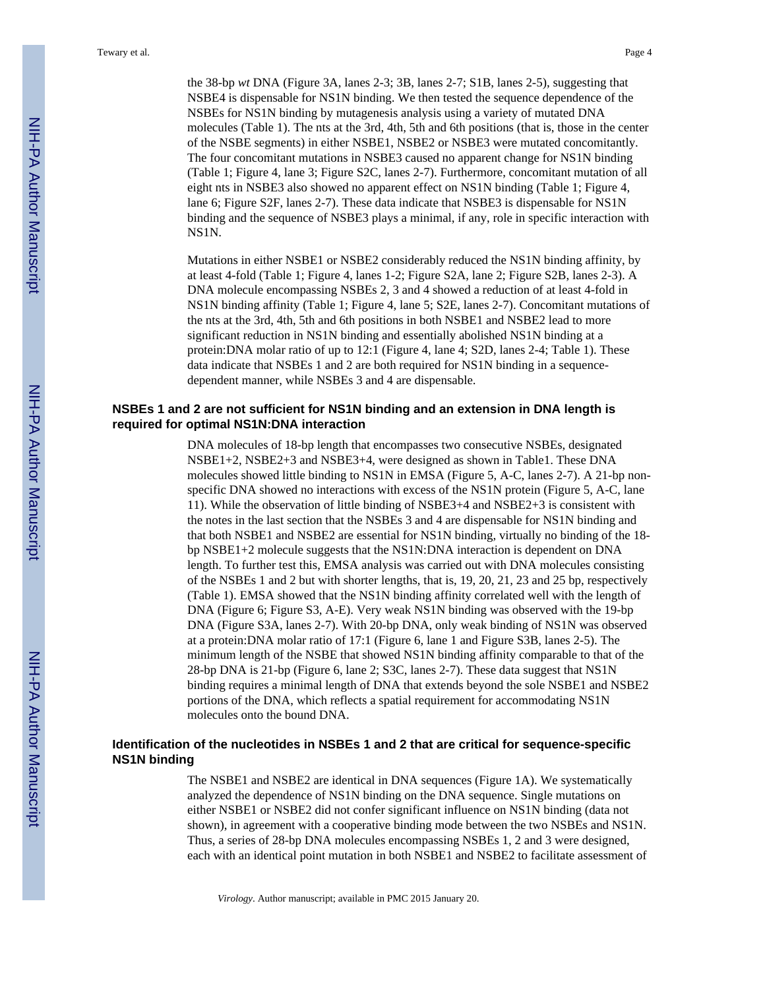the 38-bp *wt* DNA (Figure 3A, lanes 2-3; 3B, lanes 2-7; S1B, lanes 2-5), suggesting that NSBE4 is dispensable for NS1N binding. We then tested the sequence dependence of the NSBEs for NS1N binding by mutagenesis analysis using a variety of mutated DNA molecules (Table 1). The nts at the 3rd, 4th, 5th and 6th positions (that is, those in the center of the NSBE segments) in either NSBE1, NSBE2 or NSBE3 were mutated concomitantly. The four concomitant mutations in NSBE3 caused no apparent change for NS1N binding (Table 1; Figure 4, lane 3; Figure S2C, lanes 2-7). Furthermore, concomitant mutation of all eight nts in NSBE3 also showed no apparent effect on NS1N binding (Table 1; Figure 4, lane 6; Figure S2F, lanes 2-7). These data indicate that NSBE3 is dispensable for NS1N binding and the sequence of NSBE3 plays a minimal, if any, role in specific interaction with NS1N.

Mutations in either NSBE1 or NSBE2 considerably reduced the NS1N binding affinity, by at least 4-fold (Table 1; Figure 4, lanes 1-2; Figure S2A, lane 2; Figure S2B, lanes 2-3). A DNA molecule encompassing NSBEs 2, 3 and 4 showed a reduction of at least 4-fold in NS1N binding affinity (Table 1; Figure 4, lane 5; S2E, lanes 2-7). Concomitant mutations of the nts at the 3rd, 4th, 5th and 6th positions in both NSBE1 and NSBE2 lead to more significant reduction in NS1N binding and essentially abolished NS1N binding at a protein:DNA molar ratio of up to 12:1 (Figure 4, lane 4; S2D, lanes 2-4; Table 1). These data indicate that NSBEs 1 and 2 are both required for NS1N binding in a sequencedependent manner, while NSBEs 3 and 4 are dispensable.

#### **NSBEs 1 and 2 are not sufficient for NS1N binding and an extension in DNA length is required for optimal NS1N:DNA interaction**

DNA molecules of 18-bp length that encompasses two consecutive NSBEs, designated NSBE1+2, NSBE2+3 and NSBE3+4, were designed as shown in Table1. These DNA molecules showed little binding to NS1N in EMSA (Figure 5, A-C, lanes 2-7). A 21-bp nonspecific DNA showed no interactions with excess of the NS1N protein (Figure 5, A-C, lane 11). While the observation of little binding of NSBE3+4 and NSBE2+3 is consistent with the notes in the last section that the NSBEs 3 and 4 are dispensable for NS1N binding and that both NSBE1 and NSBE2 are essential for NS1N binding, virtually no binding of the 18 bp NSBE1+2 molecule suggests that the NS1N:DNA interaction is dependent on DNA length. To further test this, EMSA analysis was carried out with DNA molecules consisting of the NSBEs 1 and 2 but with shorter lengths, that is, 19, 20, 21, 23 and 25 bp, respectively (Table 1). EMSA showed that the NS1N binding affinity correlated well with the length of DNA (Figure 6; Figure S3, A-E). Very weak NS1N binding was observed with the 19-bp DNA (Figure S3A, lanes 2-7). With 20-bp DNA, only weak binding of NS1N was observed at a protein:DNA molar ratio of 17:1 (Figure 6, lane 1 and Figure S3B, lanes 2-5). The minimum length of the NSBE that showed NS1N binding affinity comparable to that of the 28-bp DNA is 21-bp (Figure 6, lane 2; S3C, lanes 2-7). These data suggest that NS1N binding requires a minimal length of DNA that extends beyond the sole NSBE1 and NSBE2 portions of the DNA, which reflects a spatial requirement for accommodating NS1N molecules onto the bound DNA.

#### **Identification of the nucleotides in NSBEs 1 and 2 that are critical for sequence-specific NS1N binding**

The NSBE1 and NSBE2 are identical in DNA sequences (Figure 1A). We systematically analyzed the dependence of NS1N binding on the DNA sequence. Single mutations on either NSBE1 or NSBE2 did not confer significant influence on NS1N binding (data not shown), in agreement with a cooperative binding mode between the two NSBEs and NS1N. Thus, a series of 28-bp DNA molecules encompassing NSBEs 1, 2 and 3 were designed, each with an identical point mutation in both NSBE1 and NSBE2 to facilitate assessment of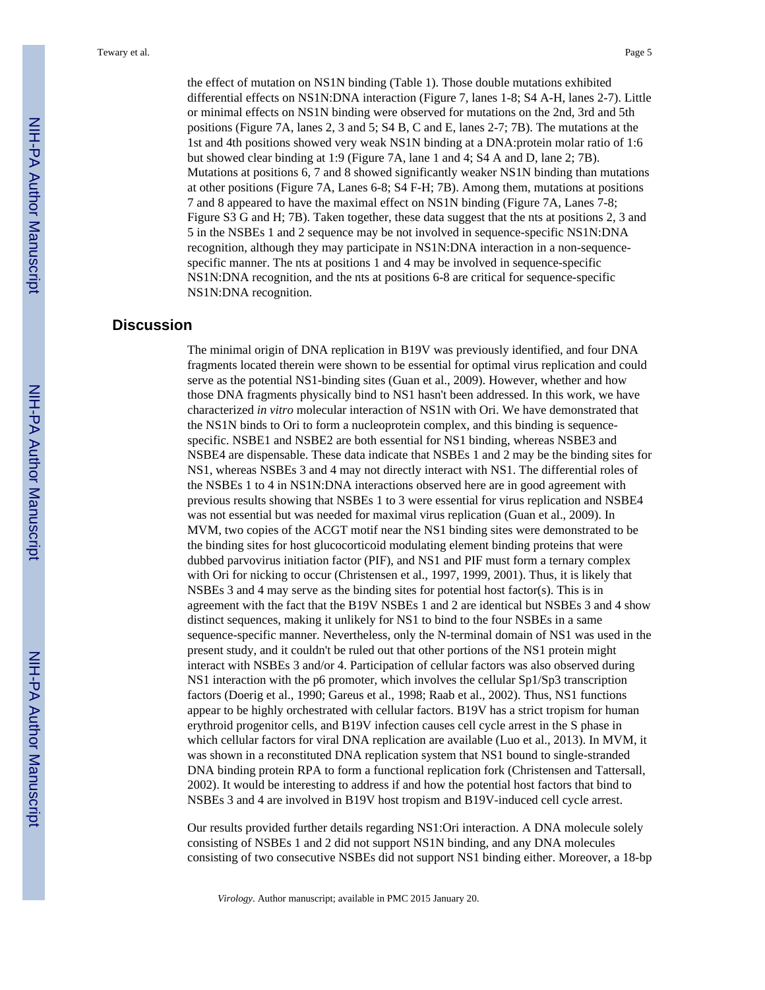the effect of mutation on NS1N binding (Table 1). Those double mutations exhibited differential effects on NS1N:DNA interaction (Figure 7, lanes 1-8; S4 A-H, lanes 2-7). Little or minimal effects on NS1N binding were observed for mutations on the 2nd, 3rd and 5th positions (Figure 7A, lanes 2, 3 and 5; S4 B, C and E, lanes 2-7; 7B). The mutations at the 1st and 4th positions showed very weak NS1N binding at a DNA:protein molar ratio of 1:6 but showed clear binding at 1:9 (Figure 7A, lane 1 and 4; S4 A and D, lane 2; 7B). Mutations at positions 6, 7 and 8 showed significantly weaker NS1N binding than mutations at other positions (Figure 7A, Lanes 6-8; S4 F-H; 7B). Among them, mutations at positions 7 and 8 appeared to have the maximal effect on NS1N binding (Figure 7A, Lanes 7-8; Figure S3 G and H; 7B). Taken together, these data suggest that the nts at positions 2, 3 and 5 in the NSBEs 1 and 2 sequence may be not involved in sequence-specific NS1N:DNA recognition, although they may participate in NS1N:DNA interaction in a non-sequence-

specific manner. The nts at positions 1 and 4 may be involved in sequence-specific NS1N:DNA recognition, and the nts at positions 6-8 are critical for sequence-specific

#### **Discussion**

NS1N:DNA recognition.

The minimal origin of DNA replication in B19V was previously identified, and four DNA fragments located therein were shown to be essential for optimal virus replication and could serve as the potential NS1-binding sites (Guan et al., 2009). However, whether and how those DNA fragments physically bind to NS1 hasn't been addressed. In this work, we have characterized *in vitro* molecular interaction of NS1N with Ori. We have demonstrated that the NS1N binds to Ori to form a nucleoprotein complex, and this binding is sequencespecific. NSBE1 and NSBE2 are both essential for NS1 binding, whereas NSBE3 and NSBE4 are dispensable. These data indicate that NSBEs 1 and 2 may be the binding sites for NS1, whereas NSBEs 3 and 4 may not directly interact with NS1. The differential roles of the NSBEs 1 to 4 in NS1N:DNA interactions observed here are in good agreement with previous results showing that NSBEs 1 to 3 were essential for virus replication and NSBE4 was not essential but was needed for maximal virus replication (Guan et al., 2009). In MVM, two copies of the ACGT motif near the NS1 binding sites were demonstrated to be the binding sites for host glucocorticoid modulating element binding proteins that were dubbed parvovirus initiation factor (PIF), and NS1 and PIF must form a ternary complex with Ori for nicking to occur (Christensen et al., 1997, 1999, 2001). Thus, it is likely that NSBEs 3 and 4 may serve as the binding sites for potential host factor(s). This is in agreement with the fact that the B19V NSBEs 1 and 2 are identical but NSBEs 3 and 4 show distinct sequences, making it unlikely for NS1 to bind to the four NSBEs in a same sequence-specific manner. Nevertheless, only the N-terminal domain of NS1 was used in the present study, and it couldn't be ruled out that other portions of the NS1 protein might interact with NSBEs 3 and/or 4. Participation of cellular factors was also observed during NS1 interaction with the p6 promoter, which involves the cellular Sp1/Sp3 transcription factors (Doerig et al., 1990; Gareus et al., 1998; Raab et al., 2002). Thus, NS1 functions appear to be highly orchestrated with cellular factors. B19V has a strict tropism for human erythroid progenitor cells, and B19V infection causes cell cycle arrest in the S phase in which cellular factors for viral DNA replication are available (Luo et al., 2013). In MVM, it was shown in a reconstituted DNA replication system that NS1 bound to single-stranded DNA binding protein RPA to form a functional replication fork (Christensen and Tattersall, 2002). It would be interesting to address if and how the potential host factors that bind to NSBEs 3 and 4 are involved in B19V host tropism and B19V-induced cell cycle arrest.

Our results provided further details regarding NS1:Ori interaction. A DNA molecule solely consisting of NSBEs 1 and 2 did not support NS1N binding, and any DNA molecules consisting of two consecutive NSBEs did not support NS1 binding either. Moreover, a 18-bp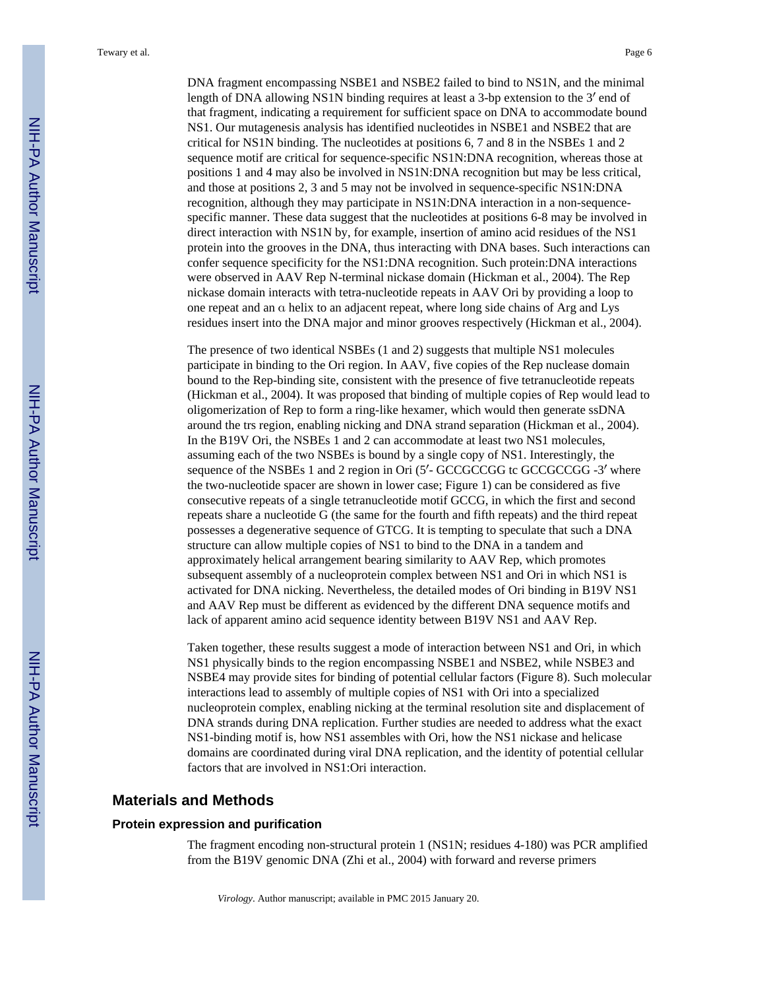DNA fragment encompassing NSBE1 and NSBE2 failed to bind to NS1N, and the minimal length of DNA allowing NS1N binding requires at least a 3-bp extension to the 3′ end of that fragment, indicating a requirement for sufficient space on DNA to accommodate bound NS1. Our mutagenesis analysis has identified nucleotides in NSBE1 and NSBE2 that are critical for NS1N binding. The nucleotides at positions 6, 7 and 8 in the NSBEs 1 and 2 sequence motif are critical for sequence-specific NS1N:DNA recognition, whereas those at positions 1 and 4 may also be involved in NS1N:DNA recognition but may be less critical, and those at positions 2, 3 and 5 may not be involved in sequence-specific NS1N:DNA recognition, although they may participate in NS1N:DNA interaction in a non-sequencespecific manner. These data suggest that the nucleotides at positions 6-8 may be involved in direct interaction with NS1N by, for example, insertion of amino acid residues of the NS1 protein into the grooves in the DNA, thus interacting with DNA bases. Such interactions can confer sequence specificity for the NS1:DNA recognition. Such protein:DNA interactions were observed in AAV Rep N-terminal nickase domain (Hickman et al., 2004). The Rep nickase domain interacts with tetra-nucleotide repeats in AAV Ori by providing a loop to one repeat and an α helix to an adjacent repeat, where long side chains of Arg and Lys residues insert into the DNA major and minor grooves respectively (Hickman et al., 2004).

The presence of two identical NSBEs (1 and 2) suggests that multiple NS1 molecules participate in binding to the Ori region. In AAV, five copies of the Rep nuclease domain bound to the Rep-binding site, consistent with the presence of five tetranucleotide repeats (Hickman et al., 2004). It was proposed that binding of multiple copies of Rep would lead to oligomerization of Rep to form a ring-like hexamer, which would then generate ssDNA around the trs region, enabling nicking and DNA strand separation (Hickman et al., 2004). In the B19V Ori, the NSBEs 1 and 2 can accommodate at least two NS1 molecules, assuming each of the two NSBEs is bound by a single copy of NS1. Interestingly, the sequence of the NSBEs 1 and 2 region in Ori (5'- GCCGCCGG tc GCCGCCGG -3' where the two-nucleotide spacer are shown in lower case; Figure 1) can be considered as five consecutive repeats of a single tetranucleotide motif GCCG, in which the first and second repeats share a nucleotide G (the same for the fourth and fifth repeats) and the third repeat possesses a degenerative sequence of GTCG. It is tempting to speculate that such a DNA structure can allow multiple copies of NS1 to bind to the DNA in a tandem and approximately helical arrangement bearing similarity to AAV Rep, which promotes subsequent assembly of a nucleoprotein complex between NS1 and Ori in which NS1 is activated for DNA nicking. Nevertheless, the detailed modes of Ori binding in B19V NS1 and AAV Rep must be different as evidenced by the different DNA sequence motifs and lack of apparent amino acid sequence identity between B19V NS1 and AAV Rep.

Taken together, these results suggest a mode of interaction between NS1 and Ori, in which NS1 physically binds to the region encompassing NSBE1 and NSBE2, while NSBE3 and NSBE4 may provide sites for binding of potential cellular factors (Figure 8). Such molecular interactions lead to assembly of multiple copies of NS1 with Ori into a specialized nucleoprotein complex, enabling nicking at the terminal resolution site and displacement of DNA strands during DNA replication. Further studies are needed to address what the exact NS1-binding motif is, how NS1 assembles with Ori, how the NS1 nickase and helicase domains are coordinated during viral DNA replication, and the identity of potential cellular factors that are involved in NS1:Ori interaction.

#### **Materials and Methods**

#### **Protein expression and purification**

The fragment encoding non-structural protein 1 (NS1N; residues 4-180) was PCR amplified from the B19V genomic DNA (Zhi et al., 2004) with forward and reverse primers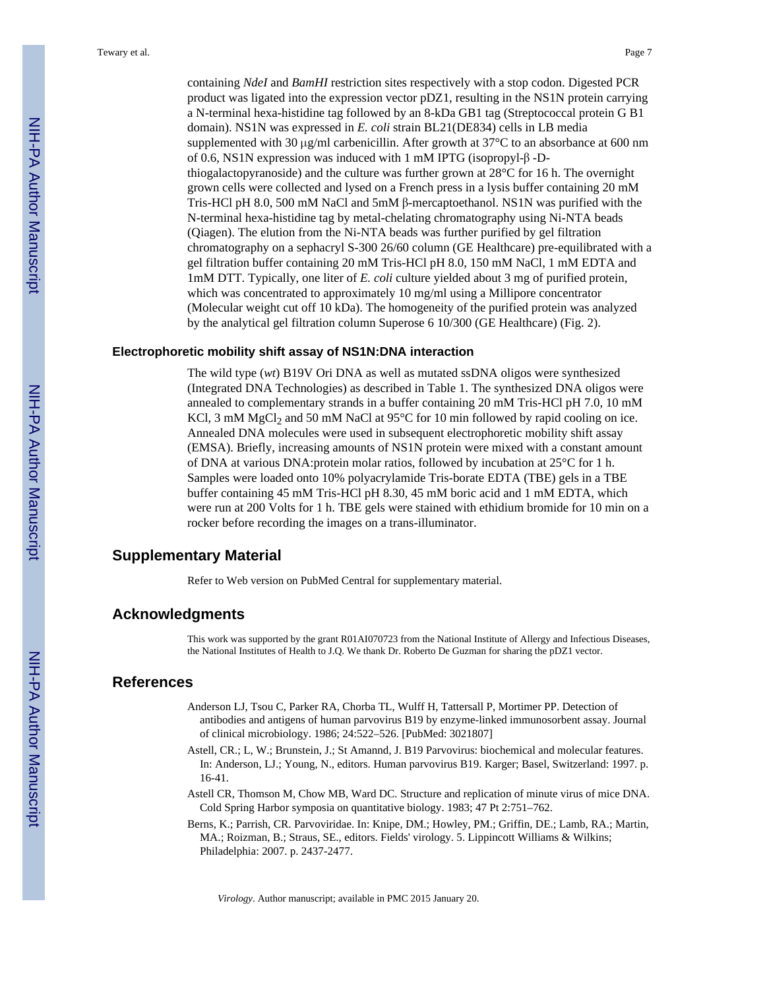containing *NdeI* and *BamHI* restriction sites respectively with a stop codon. Digested PCR product was ligated into the expression vector pDZ1, resulting in the NS1N protein carrying a N-terminal hexa-histidine tag followed by an 8-kDa GB1 tag (Streptococcal protein G B1 domain). NS1N was expressed in *E. coli* strain BL21(DE834) cells in LB media supplemented with 30 μg/ml carbenicillin. After growth at 37°C to an absorbance at 600 nm of 0.6, NS1N expression was induced with 1 mM IPTG (isopropyl-β -Dthiogalactopyranoside) and the culture was further grown at  $28^{\circ}$ C for 16 h. The overnight grown cells were collected and lysed on a French press in a lysis buffer containing 20 mM Tris-HCl pH 8.0, 500 mM NaCl and 5mM  $\beta$ -mercaptoethanol. NS1N was purified with the N-terminal hexa-histidine tag by metal-chelating chromatography using Ni-NTA beads (Qiagen). The elution from the Ni-NTA beads was further purified by gel filtration chromatography on a sephacryl S-300 26/60 column (GE Healthcare) pre-equilibrated with a gel filtration buffer containing 20 mM Tris-HCl pH 8.0, 150 mM NaCl, 1 mM EDTA and 1mM DTT. Typically, one liter of *E. coli* culture yielded about 3 mg of purified protein, which was concentrated to approximately 10 mg/ml using a Millipore concentrator (Molecular weight cut off 10 kDa). The homogeneity of the purified protein was analyzed by the analytical gel filtration column Superose 6 10/300 (GE Healthcare) (Fig. 2).

#### **Electrophoretic mobility shift assay of NS1N:DNA interaction**

The wild type (*wt*) B19V Ori DNA as well as mutated ssDNA oligos were synthesized (Integrated DNA Technologies) as described in Table 1. The synthesized DNA oligos were annealed to complementary strands in a buffer containing 20 mM Tris-HCl pH 7.0, 10 mM KCl, 3 mM MgCl<sub>2</sub> and 50 mM NaCl at  $95^{\circ}$ C for 10 min followed by rapid cooling on ice. Annealed DNA molecules were used in subsequent electrophoretic mobility shift assay (EMSA). Briefly, increasing amounts of NS1N protein were mixed with a constant amount of DNA at various DNA:protein molar ratios, followed by incubation at 25°C for 1 h. Samples were loaded onto 10% polyacrylamide Tris-borate EDTA (TBE) gels in a TBE buffer containing 45 mM Tris-HCl pH 8.30, 45 mM boric acid and 1 mM EDTA, which were run at 200 Volts for 1 h. TBE gels were stained with ethidium bromide for 10 min on a rocker before recording the images on a trans-illuminator.

#### **Supplementary Material**

Refer to Web version on PubMed Central for supplementary material.

#### **Acknowledgments**

This work was supported by the grant R01AI070723 from the National Institute of Allergy and Infectious Diseases, the National Institutes of Health to J.Q. We thank Dr. Roberto De Guzman for sharing the pDZ1 vector.

#### **References**

- Anderson LJ, Tsou C, Parker RA, Chorba TL, Wulff H, Tattersall P, Mortimer PP. Detection of antibodies and antigens of human parvovirus B19 by enzyme-linked immunosorbent assay. Journal of clinical microbiology. 1986; 24:522–526. [PubMed: 3021807]
- Astell, CR.; L, W.; Brunstein, J.; St Amannd, J. B19 Parvovirus: biochemical and molecular features. In: Anderson, LJ.; Young, N., editors. Human parvovirus B19. Karger; Basel, Switzerland: 1997. p. 16-41.
- Astell CR, Thomson M, Chow MB, Ward DC. Structure and replication of minute virus of mice DNA. Cold Spring Harbor symposia on quantitative biology. 1983; 47 Pt 2:751–762.
- Berns, K.; Parrish, CR. Parvoviridae. In: Knipe, DM.; Howley, PM.; Griffin, DE.; Lamb, RA.; Martin, MA.; Roizman, B.; Straus, SE., editors. Fields' virology. 5. Lippincott Williams & Wilkins; Philadelphia: 2007. p. 2437-2477.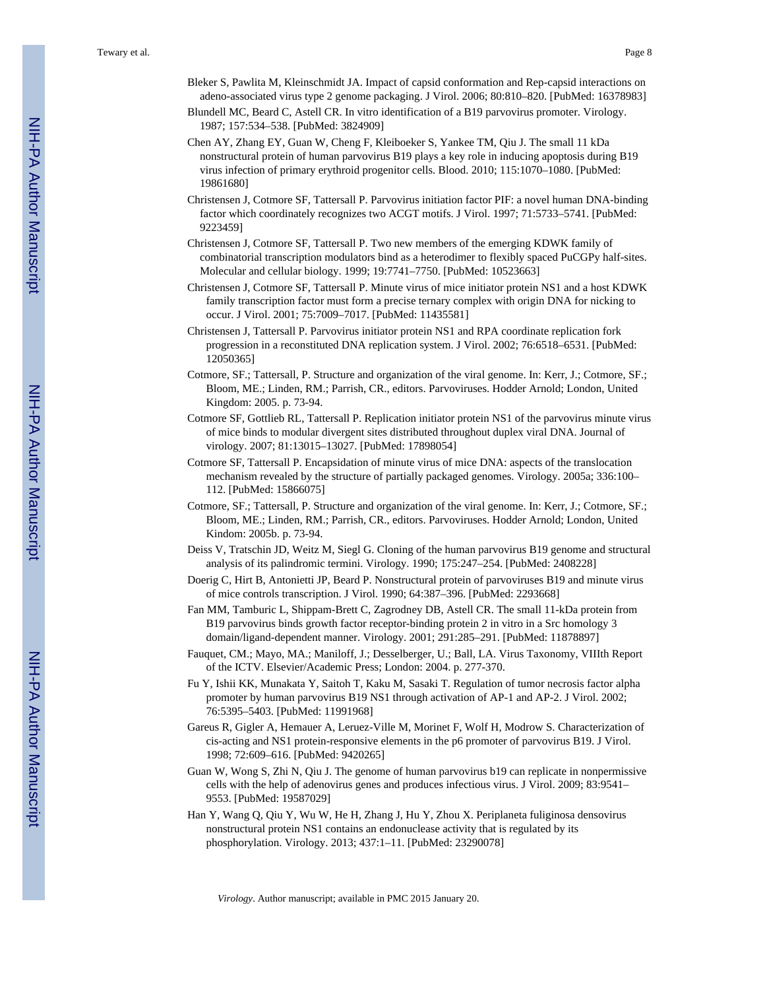- Bleker S, Pawlita M, Kleinschmidt JA. Impact of capsid conformation and Rep-capsid interactions on adeno-associated virus type 2 genome packaging. J Virol. 2006; 80:810–820. [PubMed: 16378983]
- Blundell MC, Beard C, Astell CR. In vitro identification of a B19 parvovirus promoter. Virology. 1987; 157:534–538. [PubMed: 3824909]
- Chen AY, Zhang EY, Guan W, Cheng F, Kleiboeker S, Yankee TM, Qiu J. The small 11 kDa nonstructural protein of human parvovirus B19 plays a key role in inducing apoptosis during B19 virus infection of primary erythroid progenitor cells. Blood. 2010; 115:1070–1080. [PubMed: 19861680]
- Christensen J, Cotmore SF, Tattersall P. Parvovirus initiation factor PIF: a novel human DNA-binding factor which coordinately recognizes two ACGT motifs. J Virol. 1997; 71:5733–5741. [PubMed: 9223459]
- Christensen J, Cotmore SF, Tattersall P. Two new members of the emerging KDWK family of combinatorial transcription modulators bind as a heterodimer to flexibly spaced PuCGPy half-sites. Molecular and cellular biology. 1999; 19:7741–7750. [PubMed: 10523663]
- Christensen J, Cotmore SF, Tattersall P. Minute virus of mice initiator protein NS1 and a host KDWK family transcription factor must form a precise ternary complex with origin DNA for nicking to occur. J Virol. 2001; 75:7009–7017. [PubMed: 11435581]
- Christensen J, Tattersall P. Parvovirus initiator protein NS1 and RPA coordinate replication fork progression in a reconstituted DNA replication system. J Virol. 2002; 76:6518–6531. [PubMed: 12050365]
- Cotmore, SF.; Tattersall, P. Structure and organization of the viral genome. In: Kerr, J.; Cotmore, SF.; Bloom, ME.; Linden, RM.; Parrish, CR., editors. Parvoviruses. Hodder Arnold; London, United Kingdom: 2005. p. 73-94.
- Cotmore SF, Gottlieb RL, Tattersall P. Replication initiator protein NS1 of the parvovirus minute virus of mice binds to modular divergent sites distributed throughout duplex viral DNA. Journal of virology. 2007; 81:13015–13027. [PubMed: 17898054]
- Cotmore SF, Tattersall P. Encapsidation of minute virus of mice DNA: aspects of the translocation mechanism revealed by the structure of partially packaged genomes. Virology. 2005a; 336:100– 112. [PubMed: 15866075]
- Cotmore, SF.; Tattersall, P. Structure and organization of the viral genome. In: Kerr, J.; Cotmore, SF.; Bloom, ME.; Linden, RM.; Parrish, CR., editors. Parvoviruses. Hodder Arnold; London, United Kindom: 2005b. p. 73-94.
- Deiss V, Tratschin JD, Weitz M, Siegl G. Cloning of the human parvovirus B19 genome and structural analysis of its palindromic termini. Virology. 1990; 175:247–254. [PubMed: 2408228]
- Doerig C, Hirt B, Antonietti JP, Beard P. Nonstructural protein of parvoviruses B19 and minute virus of mice controls transcription. J Virol. 1990; 64:387–396. [PubMed: 2293668]
- Fan MM, Tamburic L, Shippam-Brett C, Zagrodney DB, Astell CR. The small 11-kDa protein from B19 parvovirus binds growth factor receptor-binding protein 2 in vitro in a Src homology 3 domain/ligand-dependent manner. Virology. 2001; 291:285–291. [PubMed: 11878897]
- Fauquet, CM.; Mayo, MA.; Maniloff, J.; Desselberger, U.; Ball, LA. Virus Taxonomy, VIIIth Report of the ICTV. Elsevier/Academic Press; London: 2004. p. 277-370.
- Fu Y, Ishii KK, Munakata Y, Saitoh T, Kaku M, Sasaki T. Regulation of tumor necrosis factor alpha promoter by human parvovirus B19 NS1 through activation of AP-1 and AP-2. J Virol. 2002; 76:5395–5403. [PubMed: 11991968]
- Gareus R, Gigler A, Hemauer A, Leruez-Ville M, Morinet F, Wolf H, Modrow S. Characterization of cis-acting and NS1 protein-responsive elements in the p6 promoter of parvovirus B19. J Virol. 1998; 72:609–616. [PubMed: 9420265]
- Guan W, Wong S, Zhi N, Qiu J. The genome of human parvovirus b19 can replicate in nonpermissive cells with the help of adenovirus genes and produces infectious virus. J Virol. 2009; 83:9541– 9553. [PubMed: 19587029]
- Han Y, Wang Q, Qiu Y, Wu W, He H, Zhang J, Hu Y, Zhou X. Periplaneta fuliginosa densovirus nonstructural protein NS1 contains an endonuclease activity that is regulated by its phosphorylation. Virology. 2013; 437:1–11. [PubMed: 23290078]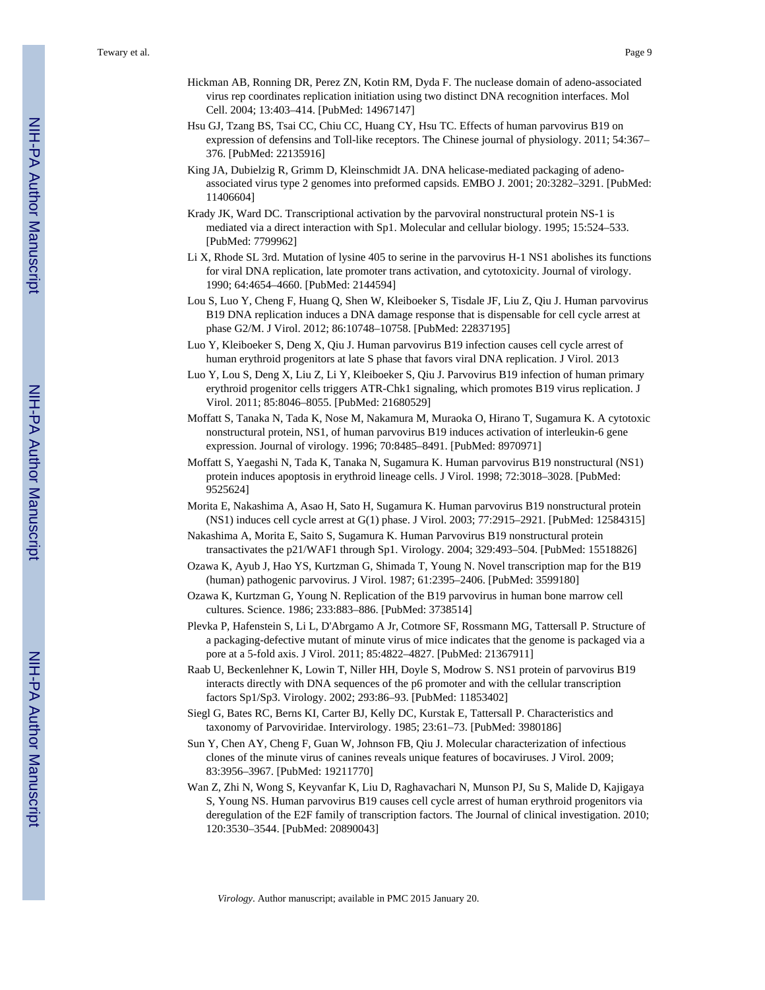- Hickman AB, Ronning DR, Perez ZN, Kotin RM, Dyda F. The nuclease domain of adeno-associated virus rep coordinates replication initiation using two distinct DNA recognition interfaces. Mol Cell. 2004; 13:403–414. [PubMed: 14967147]
- Hsu GJ, Tzang BS, Tsai CC, Chiu CC, Huang CY, Hsu TC. Effects of human parvovirus B19 on expression of defensins and Toll-like receptors. The Chinese journal of physiology. 2011; 54:367– 376. [PubMed: 22135916]
- King JA, Dubielzig R, Grimm D, Kleinschmidt JA. DNA helicase-mediated packaging of adenoassociated virus type 2 genomes into preformed capsids. EMBO J. 2001; 20:3282–3291. [PubMed: 11406604]
- Krady JK, Ward DC. Transcriptional activation by the parvoviral nonstructural protein NS-1 is mediated via a direct interaction with Sp1. Molecular and cellular biology. 1995; 15:524–533. [PubMed: 7799962]
- Li X, Rhode SL 3rd. Mutation of lysine 405 to serine in the parvovirus H-1 NS1 abolishes its functions for viral DNA replication, late promoter trans activation, and cytotoxicity. Journal of virology. 1990; 64:4654–4660. [PubMed: 2144594]
- Lou S, Luo Y, Cheng F, Huang Q, Shen W, Kleiboeker S, Tisdale JF, Liu Z, Qiu J. Human parvovirus B19 DNA replication induces a DNA damage response that is dispensable for cell cycle arrest at phase G2/M. J Virol. 2012; 86:10748–10758. [PubMed: 22837195]
- Luo Y, Kleiboeker S, Deng X, Qiu J. Human parvovirus B19 infection causes cell cycle arrest of human erythroid progenitors at late S phase that favors viral DNA replication. J Virol. 2013
- Luo Y, Lou S, Deng X, Liu Z, Li Y, Kleiboeker S, Qiu J. Parvovirus B19 infection of human primary erythroid progenitor cells triggers ATR-Chk1 signaling, which promotes B19 virus replication. J Virol. 2011; 85:8046–8055. [PubMed: 21680529]
- Moffatt S, Tanaka N, Tada K, Nose M, Nakamura M, Muraoka O, Hirano T, Sugamura K. A cytotoxic nonstructural protein, NS1, of human parvovirus B19 induces activation of interleukin-6 gene expression. Journal of virology. 1996; 70:8485–8491. [PubMed: 8970971]
- Moffatt S, Yaegashi N, Tada K, Tanaka N, Sugamura K. Human parvovirus B19 nonstructural (NS1) protein induces apoptosis in erythroid lineage cells. J Virol. 1998; 72:3018–3028. [PubMed: 9525624]
- Morita E, Nakashima A, Asao H, Sato H, Sugamura K. Human parvovirus B19 nonstructural protein (NS1) induces cell cycle arrest at G(1) phase. J Virol. 2003; 77:2915–2921. [PubMed: 12584315]
- Nakashima A, Morita E, Saito S, Sugamura K. Human Parvovirus B19 nonstructural protein transactivates the p21/WAF1 through Sp1. Virology. 2004; 329:493–504. [PubMed: 15518826]
- Ozawa K, Ayub J, Hao YS, Kurtzman G, Shimada T, Young N. Novel transcription map for the B19 (human) pathogenic parvovirus. J Virol. 1987; 61:2395–2406. [PubMed: 3599180]
- Ozawa K, Kurtzman G, Young N. Replication of the B19 parvovirus in human bone marrow cell cultures. Science. 1986; 233:883–886. [PubMed: 3738514]
- Plevka P, Hafenstein S, Li L, D'Abrgamo A Jr, Cotmore SF, Rossmann MG, Tattersall P. Structure of a packaging-defective mutant of minute virus of mice indicates that the genome is packaged via a pore at a 5-fold axis. J Virol. 2011; 85:4822–4827. [PubMed: 21367911]
- Raab U, Beckenlehner K, Lowin T, Niller HH, Doyle S, Modrow S. NS1 protein of parvovirus B19 interacts directly with DNA sequences of the p6 promoter and with the cellular transcription factors Sp1/Sp3. Virology. 2002; 293:86–93. [PubMed: 11853402]
- Siegl G, Bates RC, Berns KI, Carter BJ, Kelly DC, Kurstak E, Tattersall P. Characteristics and taxonomy of Parvoviridae. Intervirology. 1985; 23:61–73. [PubMed: 3980186]
- Sun Y, Chen AY, Cheng F, Guan W, Johnson FB, Qiu J. Molecular characterization of infectious clones of the minute virus of canines reveals unique features of bocaviruses. J Virol. 2009; 83:3956–3967. [PubMed: 19211770]
- Wan Z, Zhi N, Wong S, Keyvanfar K, Liu D, Raghavachari N, Munson PJ, Su S, Malide D, Kajigaya S, Young NS. Human parvovirus B19 causes cell cycle arrest of human erythroid progenitors via deregulation of the E2F family of transcription factors. The Journal of clinical investigation. 2010; 120:3530–3544. [PubMed: 20890043]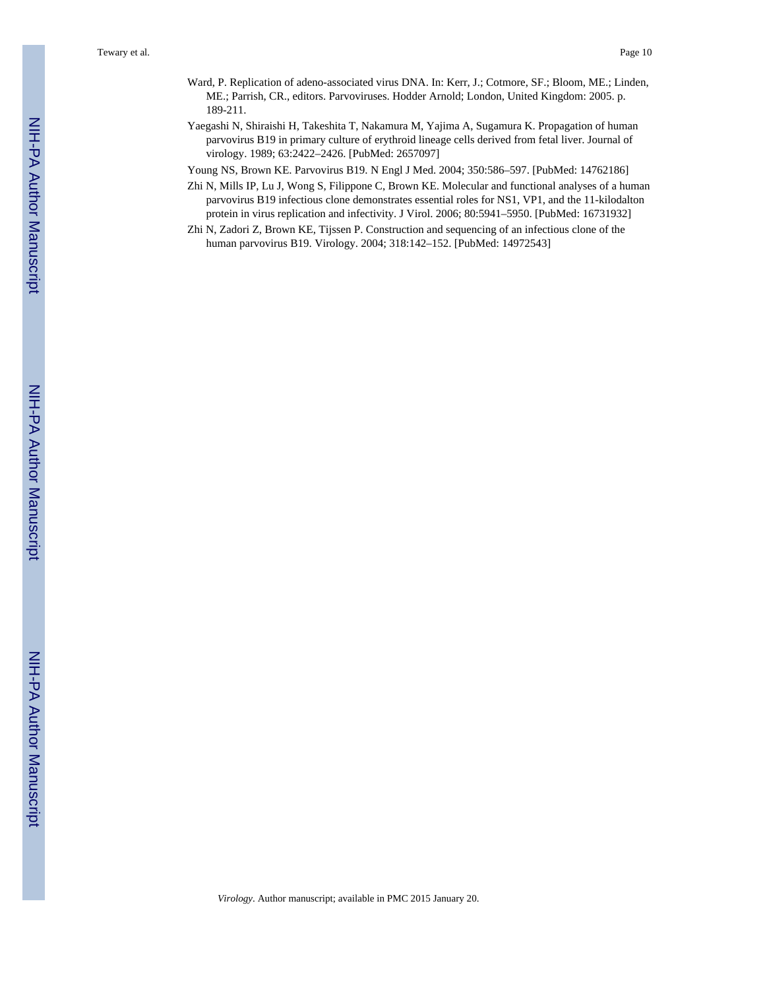- Ward, P. Replication of adeno-associated virus DNA. In: Kerr, J.; Cotmore, SF.; Bloom, ME.; Linden, ME.; Parrish, CR., editors. Parvoviruses. Hodder Arnold; London, United Kingdom: 2005. p. 189-211.
- Yaegashi N, Shiraishi H, Takeshita T, Nakamura M, Yajima A, Sugamura K. Propagation of human parvovirus B19 in primary culture of erythroid lineage cells derived from fetal liver. Journal of virology. 1989; 63:2422–2426. [PubMed: 2657097]
- Young NS, Brown KE. Parvovirus B19. N Engl J Med. 2004; 350:586–597. [PubMed: 14762186]
- Zhi N, Mills IP, Lu J, Wong S, Filippone C, Brown KE. Molecular and functional analyses of a human parvovirus B19 infectious clone demonstrates essential roles for NS1, VP1, and the 11-kilodalton protein in virus replication and infectivity. J Virol. 2006; 80:5941–5950. [PubMed: 16731932]
- Zhi N, Zadori Z, Brown KE, Tijssen P. Construction and sequencing of an infectious clone of the human parvovirus B19. Virology. 2004; 318:142–152. [PubMed: 14972543]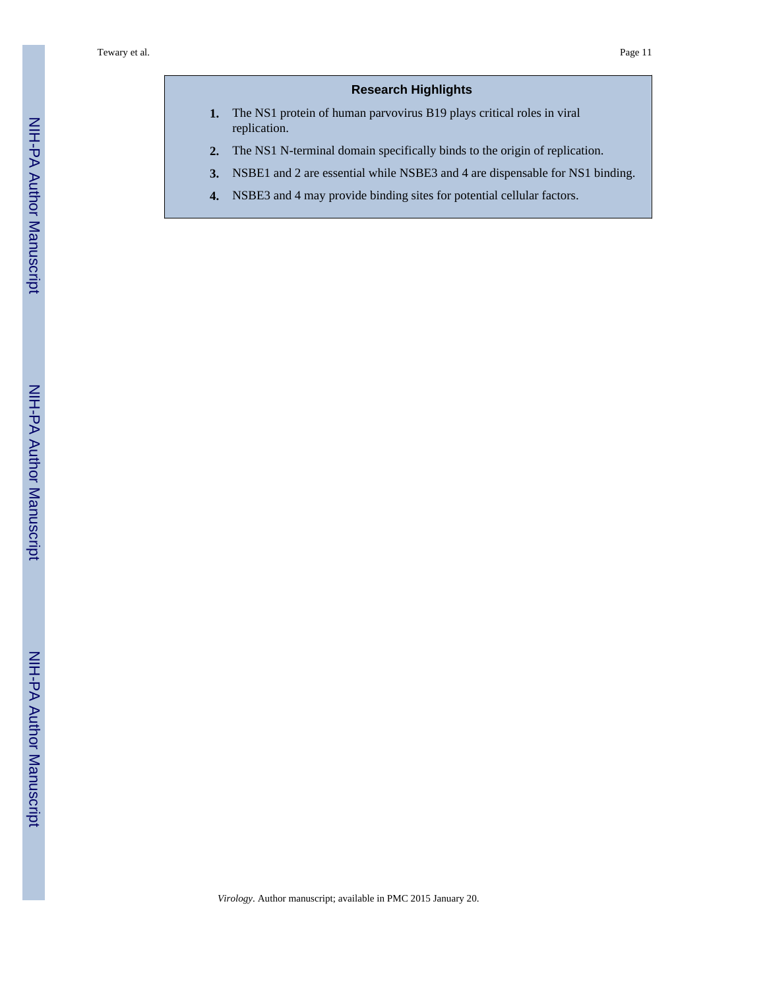#### **Research Highlights**

- **1.** The NS1 protein of human parvovirus B19 plays critical roles in viral replication.
- **2.** The NS1 N-terminal domain specifically binds to the origin of replication.
- **3.** NSBE1 and 2 are essential while NSBE3 and 4 are dispensable for NS1 binding.
- **4.** NSBE3 and 4 may provide binding sites for potential cellular factors.

NIH-PA Author Manuscript

NIH-PA Author Manuscript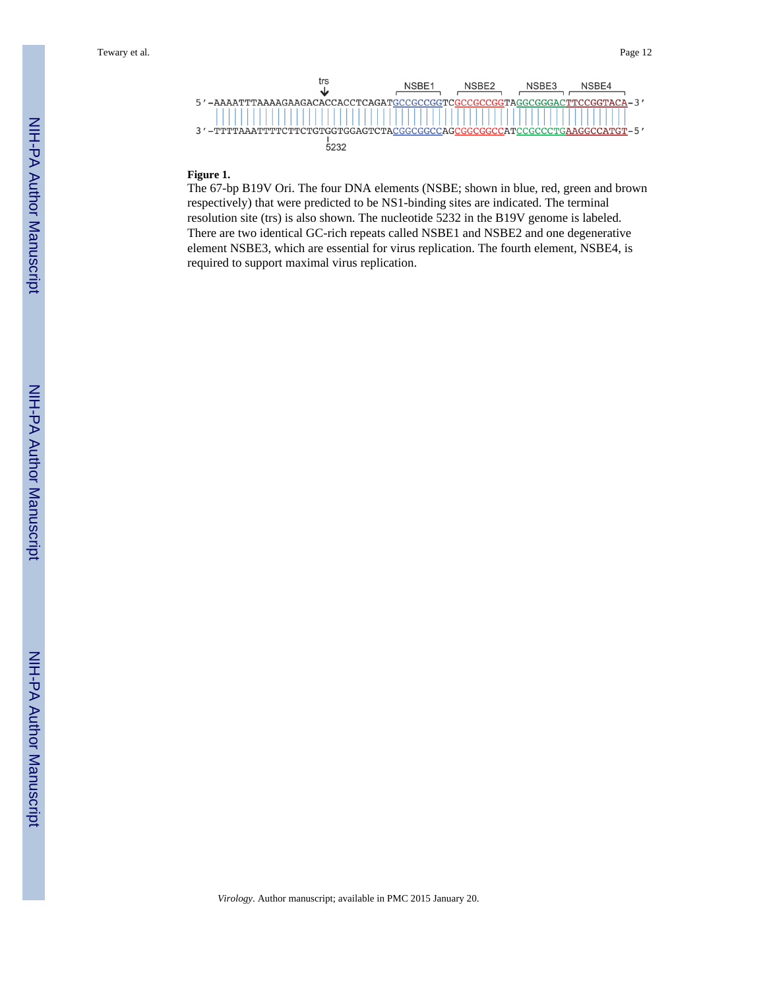

#### **Figure 1.**

The 67-bp B19V Ori. The four DNA elements (NSBE; shown in blue, red, green and brown respectively) that were predicted to be NS1-binding sites are indicated. The terminal resolution site (trs) is also shown. The nucleotide 5232 in the B19V genome is labeled. There are two identical GC-rich repeats called NSBE1 and NSBE2 and one degenerative element NSBE3, which are essential for virus replication. The fourth element, NSBE4, is required to support maximal virus replication.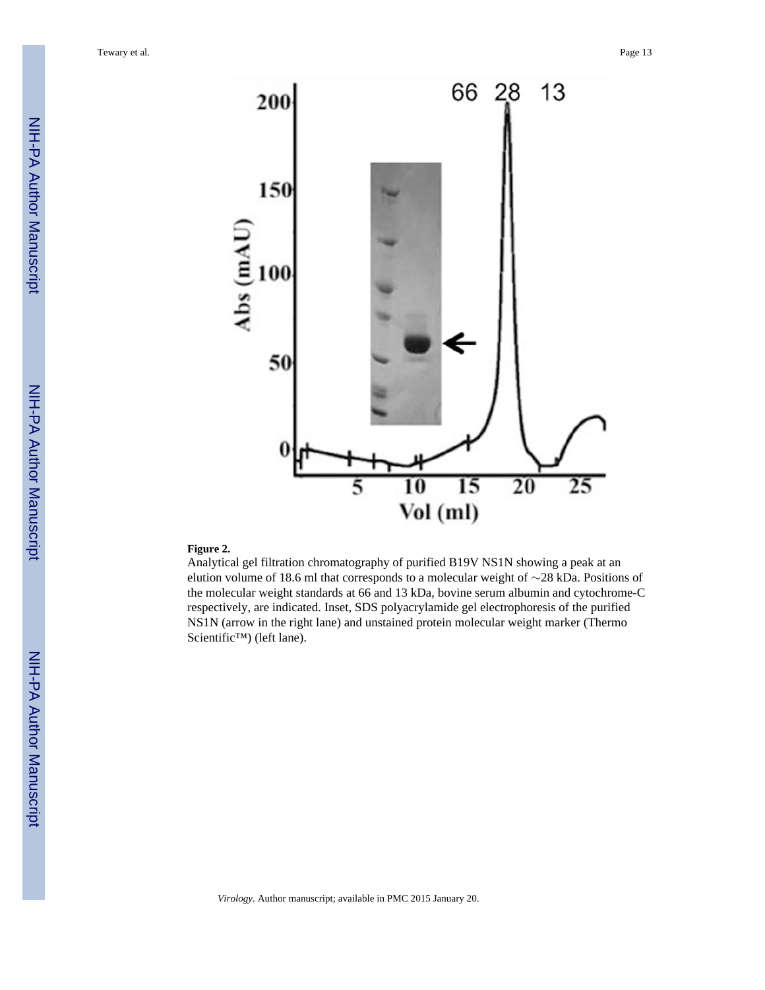Tewary et al. Page 13





#### **Figure 2.**

Analytical gel filtration chromatography of purified B19V NS1N showing a peak at an elution volume of 18.6 ml that corresponds to a molecular weight of ∼28 kDa. Positions of the molecular weight standards at 66 and 13 kDa, bovine serum albumin and cytochrome-C respectively, are indicated. Inset, SDS polyacrylamide gel electrophoresis of the purified NS1N (arrow in the right lane) and unstained protein molecular weight marker (Thermo Scientific™) (left lane).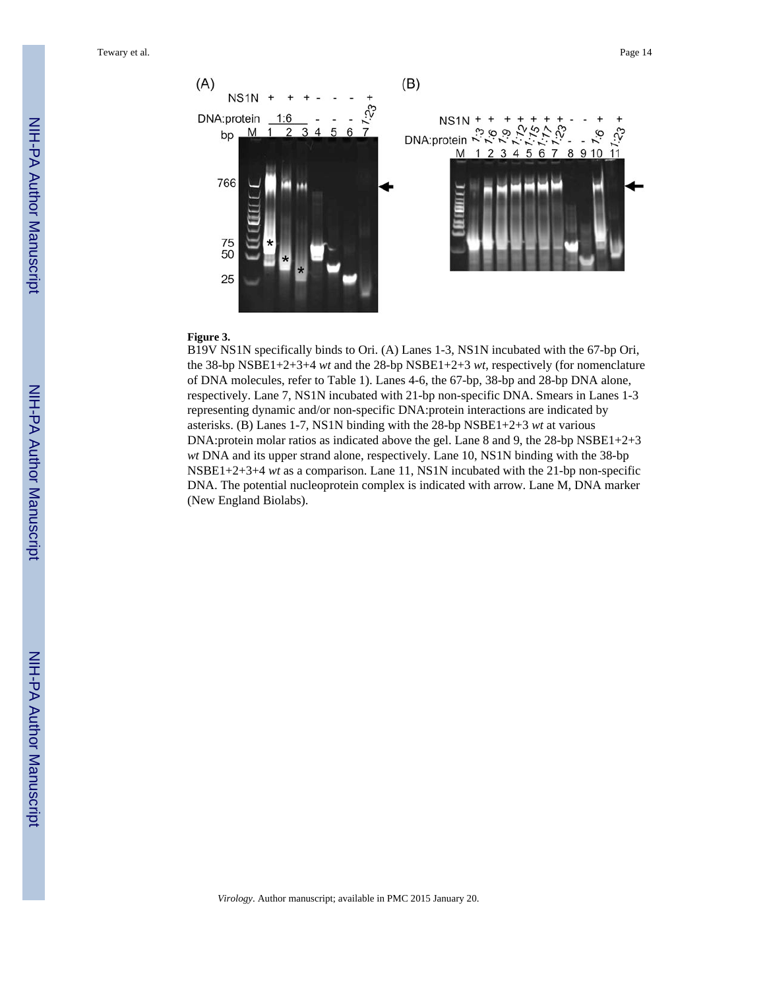

#### **Figure 3.**

B19V NS1N specifically binds to Ori. (A) Lanes 1-3, NS1N incubated with the 67-bp Ori, the 38-bp NSBE1+2+3+4 *wt* and the 28-bp NSBE1+2+3 *wt*, respectively (for nomenclature of DNA molecules, refer to Table 1). Lanes 4-6, the 67-bp, 38-bp and 28-bp DNA alone, respectively. Lane 7, NS1N incubated with 21-bp non-specific DNA. Smears in Lanes 1-3 representing dynamic and/or non-specific DNA:protein interactions are indicated by asterisks. (B) Lanes 1-7, NS1N binding with the 28-bp NSBE1+2+3 *wt* at various DNA:protein molar ratios as indicated above the gel. Lane 8 and 9, the 28-bp NSBE1+2+3 *wt* DNA and its upper strand alone, respectively. Lane 10, NS1N binding with the 38-bp NSBE1+2+3+4 *wt* as a comparison. Lane 11, NS1N incubated with the 21-bp non-specific DNA. The potential nucleoprotein complex is indicated with arrow. Lane M, DNA marker (New England Biolabs).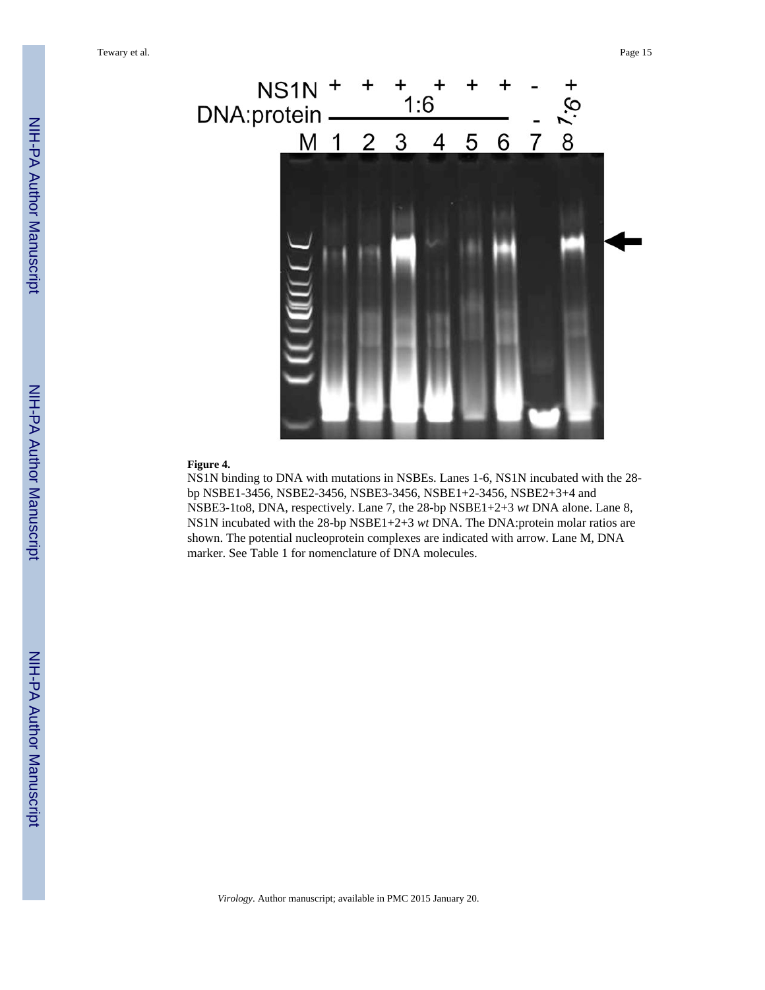

#### **Figure 4.**

NS1N binding to DNA with mutations in NSBEs. Lanes 1-6, NS1N incubated with the 28 bp NSBE1-3456, NSBE2-3456, NSBE3-3456, NSBE1+2-3456, NSBE2+3+4 and NSBE3-1to8, DNA, respectively. Lane 7, the 28-bp NSBE1+2+3 *wt* DNA alone. Lane 8, NS1N incubated with the 28-bp NSBE1+2+3 *wt* DNA. The DNA:protein molar ratios are shown. The potential nucleoprotein complexes are indicated with arrow. Lane M, DNA marker. See Table 1 for nomenclature of DNA molecules.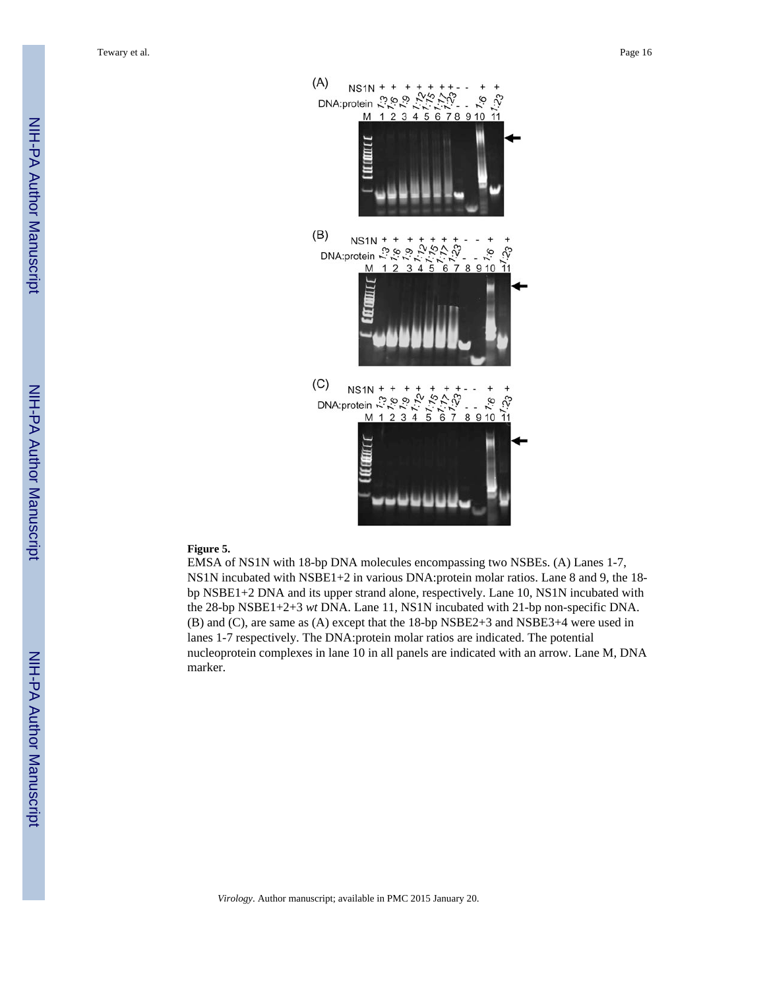Tewary et al. Page 16



#### **Figure 5.**

EMSA of NS1N with 18-bp DNA molecules encompassing two NSBEs. (A) Lanes 1-7, NS1N incubated with NSBE1+2 in various DNA:protein molar ratios. Lane 8 and 9, the 18 bp NSBE1+2 DNA and its upper strand alone, respectively. Lane 10, NS1N incubated with the 28-bp NSBE1+2+3 *wt* DNA. Lane 11, NS1N incubated with 21-bp non-specific DNA. (B) and (C), are same as (A) except that the 18-bp NSBE2+3 and NSBE3+4 were used in lanes 1-7 respectively. The DNA:protein molar ratios are indicated. The potential nucleoprotein complexes in lane 10 in all panels are indicated with an arrow. Lane M, DNA marker.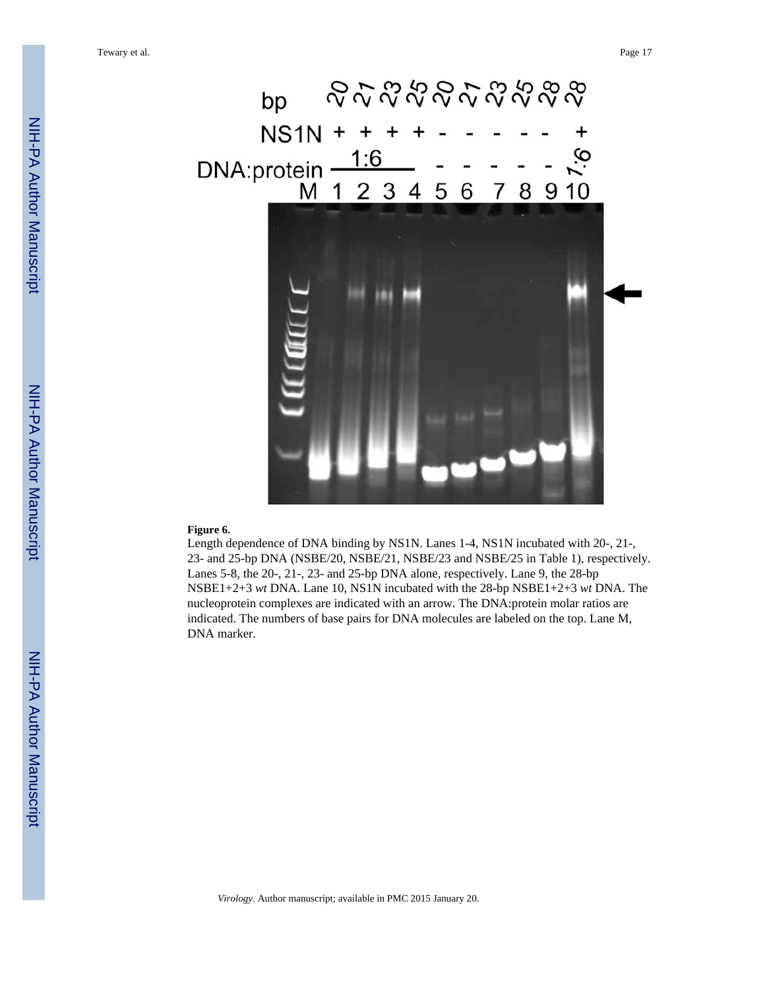#### **Figure 6.**

Length dependence of DNA binding by NS1N. Lanes 1-4, NS1N incubated with 20-, 21-, 23- and 25-bp DNA (NSBE/20, NSBE/21, NSBE/23 and NSBE/25 in Table 1), respectively. Lanes 5-8, the 20-, 21-, 23- and 25-bp DNA alone, respectively. Lane 9, the 28-bp NSBE1+2+3 *wt* DNA. Lane 10, NS1N incubated with the 28-bp NSBE1+2+3 *wt* DNA. The nucleoprotein complexes are indicated with an arrow. The DNA:protein molar ratios are indicated. The numbers of base pairs for DNA molecules are labeled on the top. Lane M, DNA marker.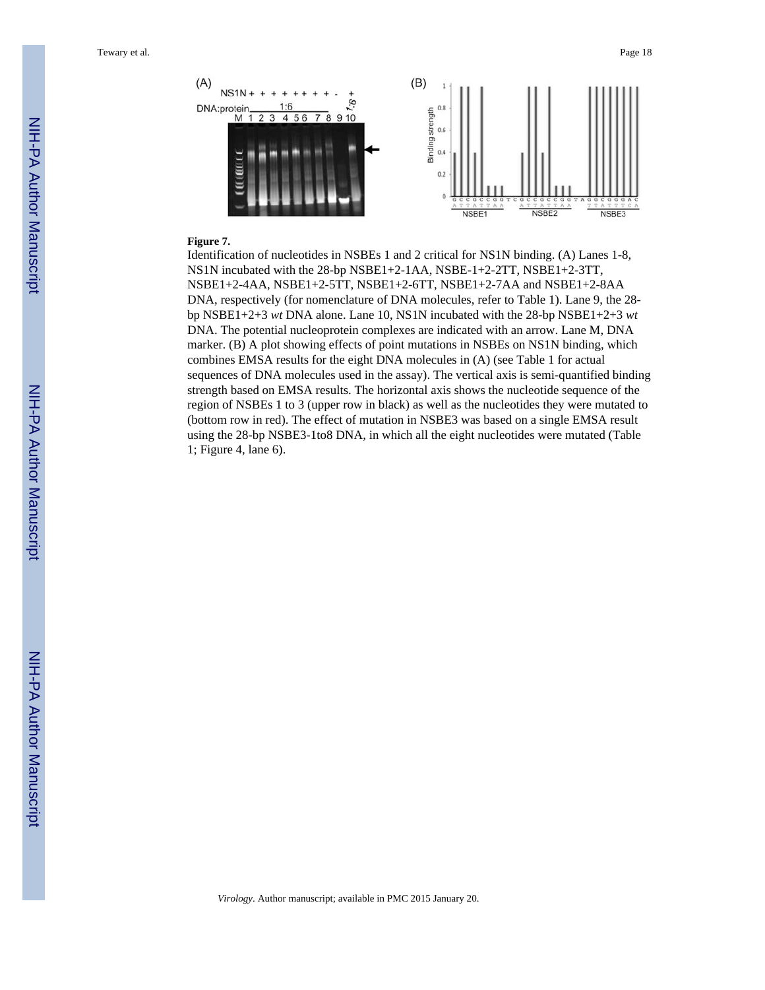

#### **Figure 7.**

Identification of nucleotides in NSBEs 1 and 2 critical for NS1N binding. (A) Lanes 1-8, NS1N incubated with the 28-bp NSBE1+2-1AA, NSBE-1+2-2TT, NSBE1+2-3TT, NSBE1+2-4AA, NSBE1+2-5TT, NSBE1+2-6TT, NSBE1+2-7AA and NSBE1+2-8AA DNA, respectively (for nomenclature of DNA molecules, refer to Table 1). Lane 9, the 28 bp NSBE1+2+3 *wt* DNA alone. Lane 10, NS1N incubated with the 28-bp NSBE1+2+3 *wt* DNA. The potential nucleoprotein complexes are indicated with an arrow. Lane M, DNA marker. (B) A plot showing effects of point mutations in NSBEs on NS1N binding, which combines EMSA results for the eight DNA molecules in (A) (see Table 1 for actual sequences of DNA molecules used in the assay). The vertical axis is semi-quantified binding strength based on EMSA results. The horizontal axis shows the nucleotide sequence of the region of NSBEs 1 to 3 (upper row in black) as well as the nucleotides they were mutated to (bottom row in red). The effect of mutation in NSBE3 was based on a single EMSA result using the 28-bp NSBE3-1to8 DNA, in which all the eight nucleotides were mutated (Table 1; Figure 4, lane 6).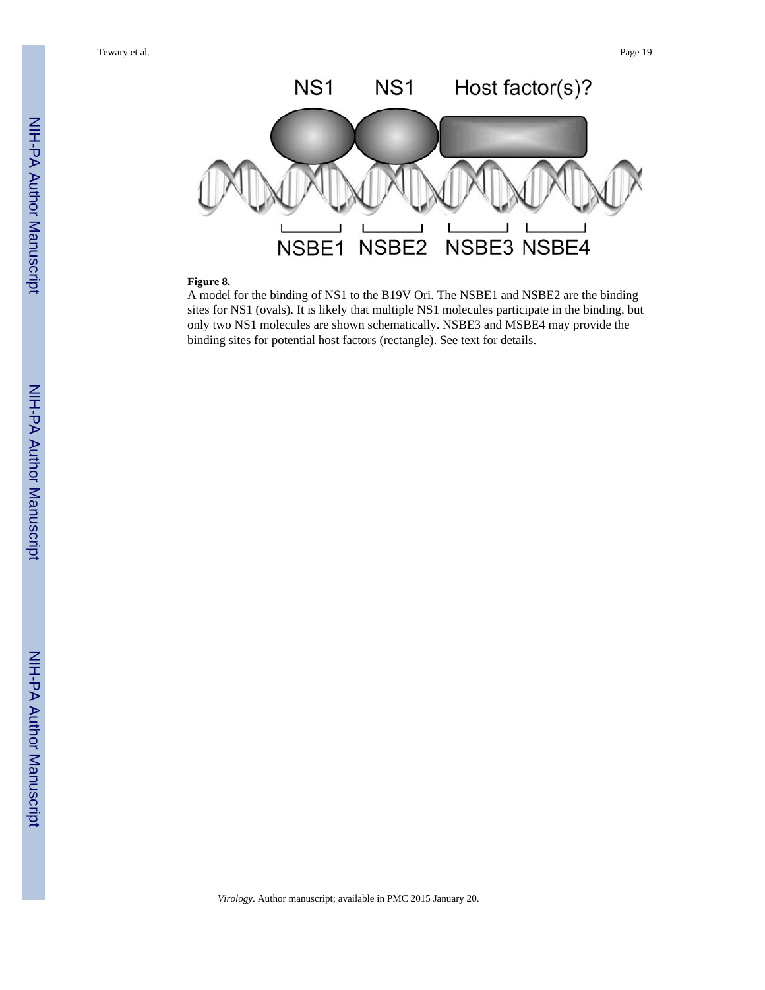Tewary et al. Page 19



#### **Figure 8.**

A model for the binding of NS1 to the B19V Ori. The NSBE1 and NSBE2 are the binding sites for NS1 (ovals). It is likely that multiple NS1 molecules participate in the binding, but only two NS1 molecules are shown schematically. NSBE3 and MSBE4 may provide the binding sites for potential host factors (rectangle). See text for details.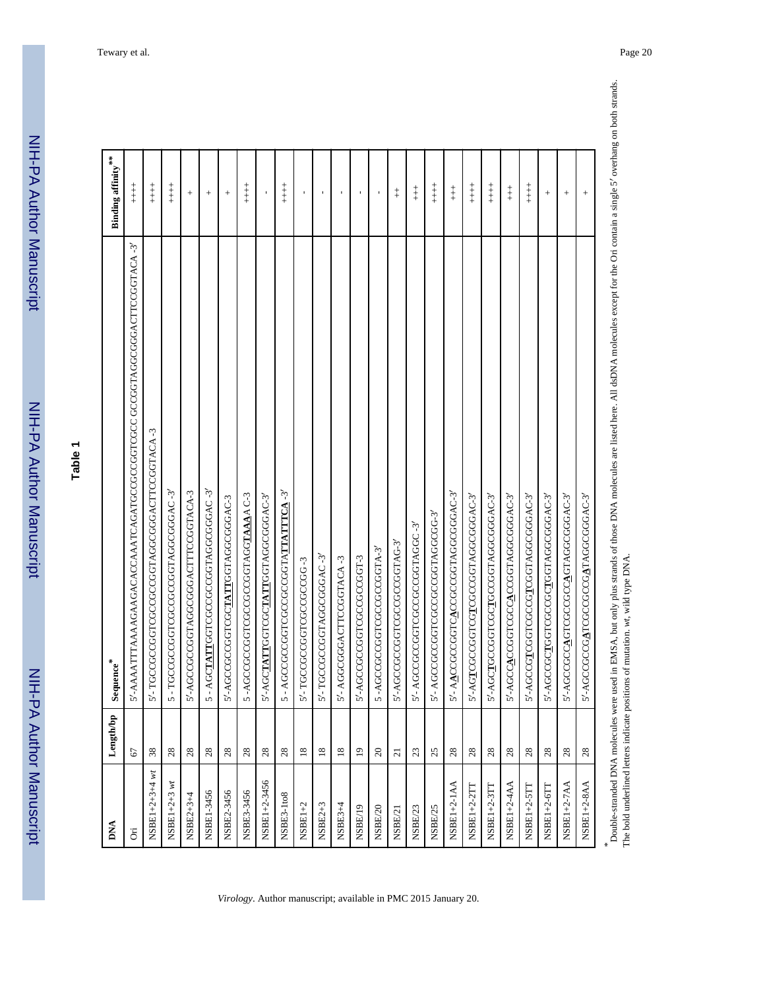# **Table 1**

| 5'-AAAATTTAAAAGAAGACAAAATCAGATGCCGGGTCGCCGGTAGGGGACTTCCGGTACA-3'<br>5'- TGCCGCCGGTCGCCGGCGGTAGGCGGGACTTCCGGTACA-3<br>- AGCTATTGGTCGCCGCCGGTAGGCGGAC-3'<br>5'-AGCCGCCGGTAGGCGGGACTTTCCGGTACA-3<br>5-TGCCGCCGGTCGCCGCCGGTAGGCGGAC-3'<br>- AGCCGCCGGTCGCCGCCGGTATTATTTCA-3'<br>5'-AACCGCCGGTCACCGCCGGTAGGCGGAC-3'<br>5-AGCCGCCGGTCGCCGCGGTAGGTAAAAC-3<br>5'-AGCTATTGGTCGCTATTGGTAGGCGGGAC-3'<br>5'-AGCCACGGGTCGCCACCGGTAGGCGGAC-3'<br>'-AGCCGTCGGTCGCCGTCGGTAGGCGGAC-3'<br>5'-AGCCGCIIGGTCGCCGCIIGGTAGGCGGGAC-3'<br>5'-AGCCGCCAGTCGCCGCCAGTAGGCGGAC-3'<br>5'-AGTCGCCGGTCGTCGCCGGTAGGCGGAC-3'<br>5'-AGCTGCCGGTCGCTGCCGGTAGGCGGAC-3'<br>5'-AGCCGCCGATCGCCGCCGATAGGCGGAC-3'<br>5'-AGCCGCCGGTCGCTATTGGTAGGCGGGAC-3<br>5'-AGCCGCCGGTCGCCGCCGGTAGGCGG-3'<br>5'-AGCCGCCGGTCGCCGCCGGTAGGC-3'<br>5'-AGCCGCCGGTCGCCGCCGGTAG-3'<br>-AGCCGCCGGTCGCCGCCGGTA-3'<br>5'-TGCCGCCGGTAGGCGGGAC-3'<br>5'-AGCCGCCGGTCGCCGCCGGT-3<br>5'-AGGGGGACTTCCGGTACA-3<br>5'-TGCCGCCGGTCGCCGCCGG-3<br>$\mathbf{r}$<br>৸<br>5<br>5<br>28<br>28<br>28<br>28<br>38<br>28<br>28<br>$^{28}$<br>28<br>28<br>$\overline{18}$<br>$\overline{18}$<br>$\overline{18}$<br>$\overline{1}$<br>$\Omega$<br>23<br>25<br>28<br>28<br>28<br>28<br>28<br>28<br>67<br>$\overline{c}$<br>NSBE1+2+3+4 wt<br>NSBE1+2-3456<br>NSBE1+2+3 wt<br>NSBE1+2-1AA<br><b>NSBE1+2-4AA</b><br>NSBE1+2-7AA<br><b>NSBE1+2-8AA</b><br>NSBE1+2-6TT<br>NSBE1+2-2TT<br>NSBE1+2-3TT<br>NSBE1+2-5TT<br>NSBE1-3456<br>NSBE2-3456<br>NSBE3-3456<br>NSBE3-1to8<br>NSBE2+3+4<br>$NSBE1+2$<br>NSBE2+3<br>$NSBE3+4$<br>NSBE/25<br>NSBE/19<br>NSBE/20<br>NSBE/23<br>NSBE/21<br>Ä | <b>DNA</b> | Length/bp | ${\bf Sequence}^*$ | Binding affinity***                        |
|----------------------------------------------------------------------------------------------------------------------------------------------------------------------------------------------------------------------------------------------------------------------------------------------------------------------------------------------------------------------------------------------------------------------------------------------------------------------------------------------------------------------------------------------------------------------------------------------------------------------------------------------------------------------------------------------------------------------------------------------------------------------------------------------------------------------------------------------------------------------------------------------------------------------------------------------------------------------------------------------------------------------------------------------------------------------------------------------------------------------------------------------------------------------------------------------------------------------------------------------------------------------------------------------------------------------------------------------------------------------------------------------------------------------------------------------------------------------------------------------------------------------------------------------------------------------------------------------|------------|-----------|--------------------|--------------------------------------------|
|                                                                                                                                                                                                                                                                                                                                                                                                                                                                                                                                                                                                                                                                                                                                                                                                                                                                                                                                                                                                                                                                                                                                                                                                                                                                                                                                                                                                                                                                                                                                                                                              |            |           |                    | $\begin{array}{c} + \\ + \\ + \end{array}$ |
|                                                                                                                                                                                                                                                                                                                                                                                                                                                                                                                                                                                                                                                                                                                                                                                                                                                                                                                                                                                                                                                                                                                                                                                                                                                                                                                                                                                                                                                                                                                                                                                              |            |           |                    | $\begin{array}{c} + \\ + \\ + \end{array}$ |
|                                                                                                                                                                                                                                                                                                                                                                                                                                                                                                                                                                                                                                                                                                                                                                                                                                                                                                                                                                                                                                                                                                                                                                                                                                                                                                                                                                                                                                                                                                                                                                                              |            |           |                    | $\overset{+}{+}$                           |
|                                                                                                                                                                                                                                                                                                                                                                                                                                                                                                                                                                                                                                                                                                                                                                                                                                                                                                                                                                                                                                                                                                                                                                                                                                                                                                                                                                                                                                                                                                                                                                                              |            |           |                    | $^{+}$                                     |
|                                                                                                                                                                                                                                                                                                                                                                                                                                                                                                                                                                                                                                                                                                                                                                                                                                                                                                                                                                                                                                                                                                                                                                                                                                                                                                                                                                                                                                                                                                                                                                                              |            |           |                    |                                            |
|                                                                                                                                                                                                                                                                                                                                                                                                                                                                                                                                                                                                                                                                                                                                                                                                                                                                                                                                                                                                                                                                                                                                                                                                                                                                                                                                                                                                                                                                                                                                                                                              |            |           |                    | $^{+}$                                     |
|                                                                                                                                                                                                                                                                                                                                                                                                                                                                                                                                                                                                                                                                                                                                                                                                                                                                                                                                                                                                                                                                                                                                                                                                                                                                                                                                                                                                                                                                                                                                                                                              |            |           |                    | $\begin{array}{c} + \\ + \\ + \end{array}$ |
|                                                                                                                                                                                                                                                                                                                                                                                                                                                                                                                                                                                                                                                                                                                                                                                                                                                                                                                                                                                                                                                                                                                                                                                                                                                                                                                                                                                                                                                                                                                                                                                              |            |           |                    |                                            |
|                                                                                                                                                                                                                                                                                                                                                                                                                                                                                                                                                                                                                                                                                                                                                                                                                                                                                                                                                                                                                                                                                                                                                                                                                                                                                                                                                                                                                                                                                                                                                                                              |            |           |                    | $\ddagger$                                 |
|                                                                                                                                                                                                                                                                                                                                                                                                                                                                                                                                                                                                                                                                                                                                                                                                                                                                                                                                                                                                                                                                                                                                                                                                                                                                                                                                                                                                                                                                                                                                                                                              |            |           |                    | $\mathbf{r}$                               |
|                                                                                                                                                                                                                                                                                                                                                                                                                                                                                                                                                                                                                                                                                                                                                                                                                                                                                                                                                                                                                                                                                                                                                                                                                                                                                                                                                                                                                                                                                                                                                                                              |            |           |                    | $\mathbf I$                                |
|                                                                                                                                                                                                                                                                                                                                                                                                                                                                                                                                                                                                                                                                                                                                                                                                                                                                                                                                                                                                                                                                                                                                                                                                                                                                                                                                                                                                                                                                                                                                                                                              |            |           |                    |                                            |
|                                                                                                                                                                                                                                                                                                                                                                                                                                                                                                                                                                                                                                                                                                                                                                                                                                                                                                                                                                                                                                                                                                                                                                                                                                                                                                                                                                                                                                                                                                                                                                                              |            |           |                    | $\mathbf I$                                |
|                                                                                                                                                                                                                                                                                                                                                                                                                                                                                                                                                                                                                                                                                                                                                                                                                                                                                                                                                                                                                                                                                                                                                                                                                                                                                                                                                                                                                                                                                                                                                                                              |            |           |                    | $\blacksquare$                             |
|                                                                                                                                                                                                                                                                                                                                                                                                                                                                                                                                                                                                                                                                                                                                                                                                                                                                                                                                                                                                                                                                                                                                                                                                                                                                                                                                                                                                                                                                                                                                                                                              |            |           |                    | $\ddagger$                                 |
|                                                                                                                                                                                                                                                                                                                                                                                                                                                                                                                                                                                                                                                                                                                                                                                                                                                                                                                                                                                                                                                                                                                                                                                                                                                                                                                                                                                                                                                                                                                                                                                              |            |           |                    | $\ddagger$                                 |
|                                                                                                                                                                                                                                                                                                                                                                                                                                                                                                                                                                                                                                                                                                                                                                                                                                                                                                                                                                                                                                                                                                                                                                                                                                                                                                                                                                                                                                                                                                                                                                                              |            |           |                    | $\begin{array}{c} + \\ + \\ + \end{array}$ |
|                                                                                                                                                                                                                                                                                                                                                                                                                                                                                                                                                                                                                                                                                                                                                                                                                                                                                                                                                                                                                                                                                                                                                                                                                                                                                                                                                                                                                                                                                                                                                                                              |            |           |                    | $\ddagger$                                 |
|                                                                                                                                                                                                                                                                                                                                                                                                                                                                                                                                                                                                                                                                                                                                                                                                                                                                                                                                                                                                                                                                                                                                                                                                                                                                                                                                                                                                                                                                                                                                                                                              |            |           |                    | $\begin{array}{c} + \\ + \\ + \end{array}$ |
|                                                                                                                                                                                                                                                                                                                                                                                                                                                                                                                                                                                                                                                                                                                                                                                                                                                                                                                                                                                                                                                                                                                                                                                                                                                                                                                                                                                                                                                                                                                                                                                              |            |           |                    | $\begin{array}{c} + \\ + \\ + \end{array}$ |
|                                                                                                                                                                                                                                                                                                                                                                                                                                                                                                                                                                                                                                                                                                                                                                                                                                                                                                                                                                                                                                                                                                                                                                                                                                                                                                                                                                                                                                                                                                                                                                                              |            |           |                    | $\ddagger$                                 |
|                                                                                                                                                                                                                                                                                                                                                                                                                                                                                                                                                                                                                                                                                                                                                                                                                                                                                                                                                                                                                                                                                                                                                                                                                                                                                                                                                                                                                                                                                                                                                                                              |            |           |                    | $\begin{array}{c} + \\ + \\ + \end{array}$ |
|                                                                                                                                                                                                                                                                                                                                                                                                                                                                                                                                                                                                                                                                                                                                                                                                                                                                                                                                                                                                                                                                                                                                                                                                                                                                                                                                                                                                                                                                                                                                                                                              |            |           |                    | $^{+}$                                     |
|                                                                                                                                                                                                                                                                                                                                                                                                                                                                                                                                                                                                                                                                                                                                                                                                                                                                                                                                                                                                                                                                                                                                                                                                                                                                                                                                                                                                                                                                                                                                                                                              |            |           |                    | $^{+}$                                     |
|                                                                                                                                                                                                                                                                                                                                                                                                                                                                                                                                                                                                                                                                                                                                                                                                                                                                                                                                                                                                                                                                                                                                                                                                                                                                                                                                                                                                                                                                                                                                                                                              |            |           |                    | $^{+}$                                     |

*\** Double-stranded DNA molecules were used in EMSA, but only plus strands of those DNA molecules are listed here. All dsDNA molecules except for the Ori contain a single 5′ overhang on both strands. The bold underlined letters indicate positions of mutation. *wt*, wild type DNA.